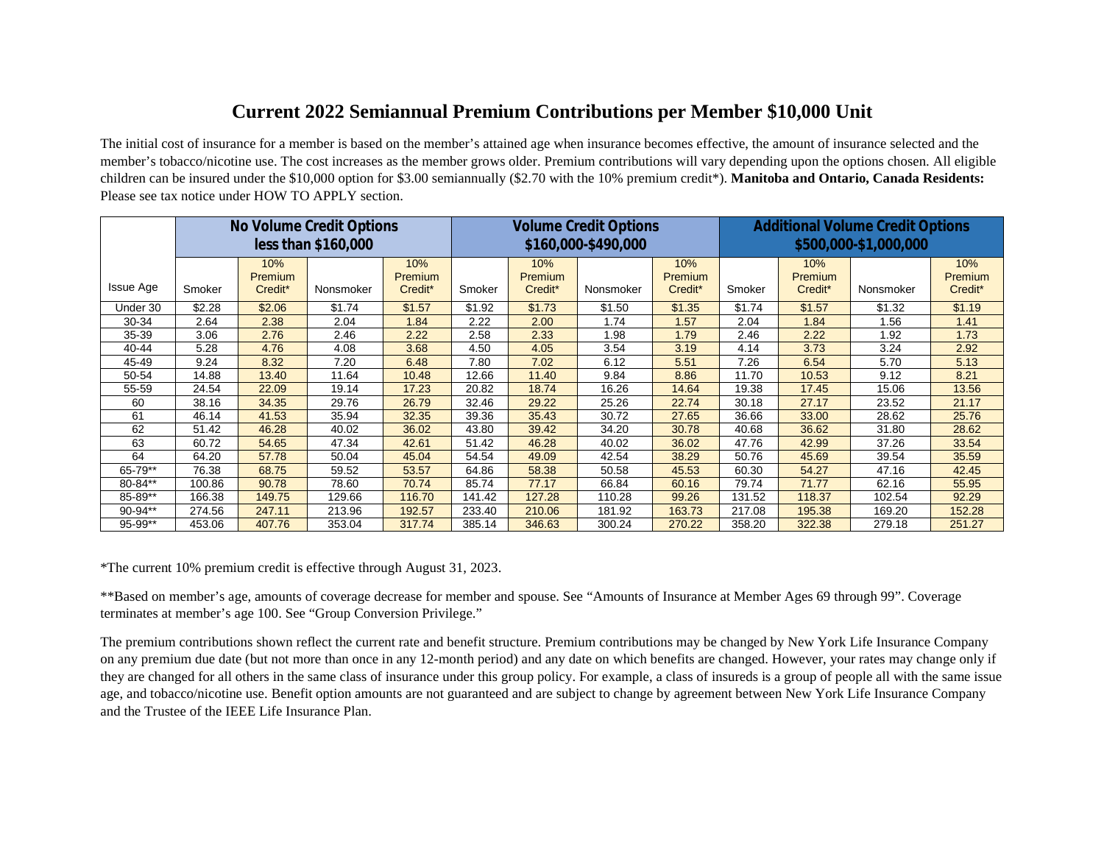## **Current 2022 Semiannual Premium Contributions per Member \$10,000 Unit**

The initial cost of insurance for a member is based on the member's attained age when insurance becomes effective, the amount of insurance selected and the member's tobacco/nicotine use. The cost increases as the member grows older. Premium contributions will vary depending upon the options chosen. All eligible children can be insured under the \$10,000 option for \$3.00 semiannually (\$2.70 with the 10% premium credit\*). **Manitoba and Ontario, Canada Residents:** Please see tax notice under HOW TO APPLY section.

|                  |            |                | No Volume Credit Options<br>less than \$160,000 |         |        |         | <b>Volume Credit Options</b><br>\$160,000-\$490,000 |         | <b>Additional Volume Credit Options</b><br>\$500,000-\$1,000,000 |         |           |         |
|------------------|------------|----------------|-------------------------------------------------|---------|--------|---------|-----------------------------------------------------|---------|------------------------------------------------------------------|---------|-----------|---------|
|                  | 10%<br>10% |                |                                                 |         |        | 10%     |                                                     | 10%     |                                                                  | 10%     |           | 10%     |
|                  |            | <b>Premium</b> |                                                 | Premium |        | Premium |                                                     | Premium |                                                                  | Premium |           | Premium |
| <b>Issue Age</b> | Smoker     | Credit*        | Nonsmoker                                       | Credit* | Smoker | Credit* | Nonsmoker                                           | Credit* | Smoker                                                           | Credit* | Nonsmoker | Credit* |
| Under 30         | \$2.28     | \$2.06         | \$1.74                                          | \$1.57  | \$1.92 | \$1.73  | \$1.50                                              | \$1.35  | \$1.74                                                           | \$1.57  | \$1.32    | \$1.19  |
| 30-34            | 2.64       | 2.38           | 2.04                                            | 1.84    | 2.22   | 2.00    | 1.74                                                | 1.57    | 2.04                                                             | 1.84    | 1.56      | 1.41    |
| 35-39            | 3.06       | 2.76           | 2.46                                            | 2.22    | 2.58   | 2.33    | 1.98                                                | 1.79    | 2.46                                                             | 2.22    | 1.92      | 1.73    |
| 40-44            | 5.28       | 4.76           | 4.08                                            | 3.68    | 4.50   | 4.05    | 3.54                                                | 3.19    | 4.14                                                             | 3.73    | 3.24      | 2.92    |
| 45-49            | 9.24       | 8.32           | 7.20                                            | 6.48    | 7.80   | 7.02    | 6.12                                                | 5.51    | 7.26                                                             | 6.54    | 5.70      | 5.13    |
| 50-54            | 14.88      | 13.40          | 11.64                                           | 10.48   | 12.66  | 11.40   | 9.84                                                | 8.86    | 11.70                                                            | 10.53   | 9.12      | 8.21    |
| 55-59            | 24.54      | 22.09          | 19.14                                           | 17.23   | 20.82  | 18.74   | 16.26                                               | 14.64   | 19.38                                                            | 17.45   | 15.06     | 13.56   |
| 60               | 38.16      | 34.35          | 29.76                                           | 26.79   | 32.46  | 29.22   | 25.26                                               | 22.74   | 30.18                                                            | 27.17   | 23.52     | 21.17   |
| 61               | 46.14      | 41.53          | 35.94                                           | 32.35   | 39.36  | 35.43   | 30.72                                               | 27.65   | 36.66                                                            | 33.00   | 28.62     | 25.76   |
| 62               | 51.42      | 46.28          | 40.02                                           | 36.02   | 43.80  | 39.42   | 34.20                                               | 30.78   | 40.68                                                            | 36.62   | 31.80     | 28.62   |
| 63               | 60.72      | 54.65          | 47.34                                           | 42.61   | 51.42  | 46.28   | 40.02                                               | 36.02   | 47.76                                                            | 42.99   | 37.26     | 33.54   |
| 64               | 64.20      | 57.78          | 50.04                                           | 45.04   | 54.54  | 49.09   | 42.54                                               | 38.29   | 50.76                                                            | 45.69   | 39.54     | 35.59   |
| 65-79**          | 76.38      | 68.75          | 59.52                                           | 53.57   | 64.86  | 58.38   | 50.58                                               | 45.53   | 60.30                                                            | 54.27   | 47.16     | 42.45   |
| 80-84**          | 100.86     | 90.78          | 78.60                                           | 70.74   | 85.74  | 77.17   | 66.84                                               | 60.16   | 79.74                                                            | 71.77   | 62.16     | 55.95   |
| 85-89**          | 166.38     | 149.75         | 129.66                                          | 116.70  | 141.42 | 127.28  | 110.28                                              | 99.26   | 131.52                                                           | 118.37  | 102.54    | 92.29   |
| $90-94**$        | 274.56     | 247.11         | 213.96                                          | 192.57  | 233.40 | 210.06  | 181.92                                              | 163.73  | 217.08                                                           | 195.38  | 169.20    | 152.28  |
| 95-99**          | 453.06     | 407.76         | 353.04                                          | 317.74  | 385.14 | 346.63  | 300.24                                              | 270.22  | 358.20                                                           | 322.38  | 279.18    | 251.27  |

\*The current 10% premium credit is effective through August 31, 2023.

\*\*Based on member's age, amounts of coverage decrease for member and spouse. See "Amounts of Insurance at Member Ages 69 through 99". Coverage terminates at member's age 100. See "Group Conversion Privilege."

The premium contributions shown reflect the current rate and benefit structure. Premium contributions may be changed by New York Life Insurance Company on any premium due date (but not more than once in any 12-month period) and any date on which benefits are changed. However, your rates may change only if they are changed for all others in the same class of insurance under this group policy. For example, a class of insureds is a group of people all with the same issue age, and tobacco/nicotine use. Benefit option amounts are not guaranteed and are subject to change by agreement between New York Life Insurance Company and the Trustee of the IEEE Life Insurance Plan.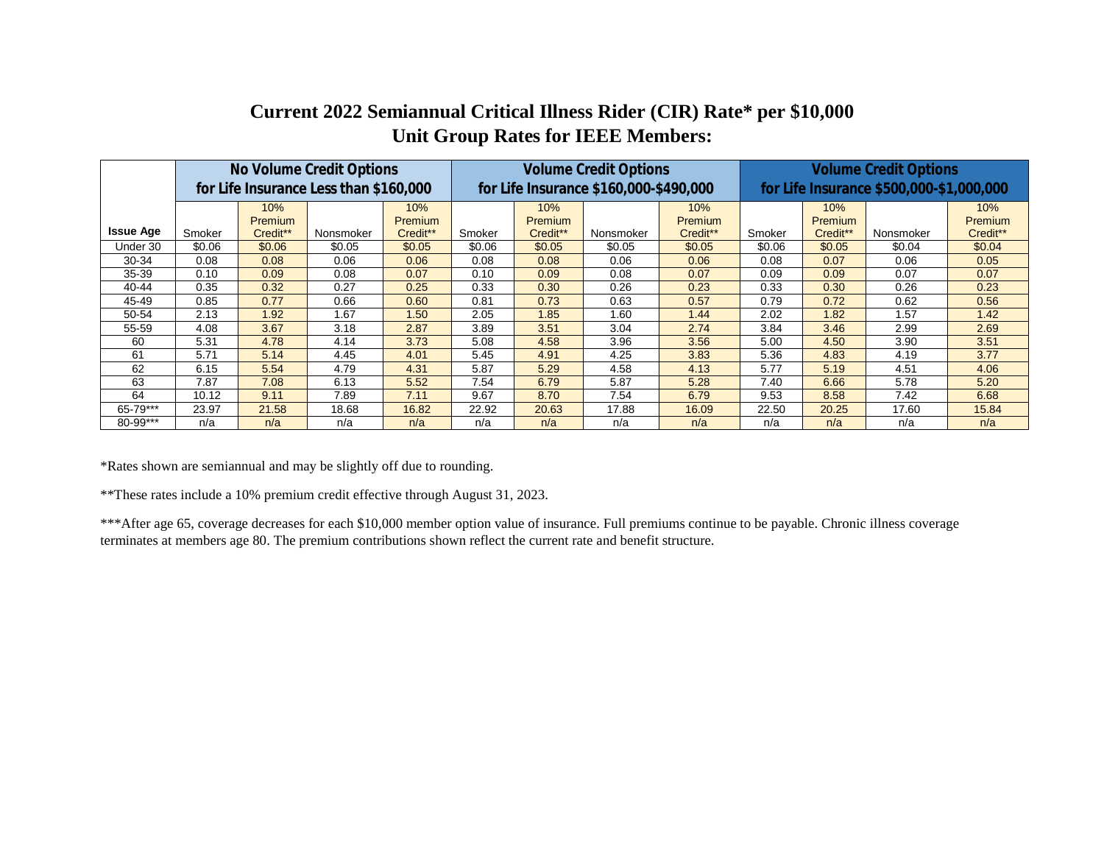## **Current 2022 Semiannual Critical Illness Rider (CIR) Rate\* per \$10,000 Unit Group Rates for IEEE Members:**

|                  | No Volume Credit Options |                |                                        |                | <b>Volume Credit Options</b> |          |                                        |                | <b>Volume Credit Options</b>             |                |           |          |
|------------------|--------------------------|----------------|----------------------------------------|----------------|------------------------------|----------|----------------------------------------|----------------|------------------------------------------|----------------|-----------|----------|
|                  |                          |                | for Life Insurance Less than \$160,000 |                |                              |          | for Life Insurance \$160,000-\$490,000 |                | for Life Insurance \$500,000-\$1,000,000 |                |           |          |
|                  |                          | 10%            |                                        | $10\%$         |                              | 10%      |                                        | 10%            |                                          | 10%            |           | 10%      |
|                  |                          | <b>Premium</b> |                                        | <b>Premium</b> |                              | Premium  |                                        | <b>Premium</b> |                                          | <b>Premium</b> |           | Premium  |
| <b>Issue Age</b> | Smoker                   | Credit**       | Nonsmoker                              | Credit**       | Smoker                       | Credit** | Nonsmoker                              | Credit**       | Smoker                                   | Credit**       | Nonsmoker | Credit** |
| Under 30         | \$0.06                   | \$0.06         | \$0.05                                 | \$0.05         | \$0.06                       | \$0.05   | \$0.05                                 | \$0.05         | \$0.06                                   | \$0.05         | \$0.04    | \$0.04   |
| 30-34            | 0.08                     | 0.08           | 0.06                                   | 0.06           | 0.08                         | 0.08     | 0.06                                   | 0.06           | 0.08                                     | 0.07           | 0.06      | 0.05     |
| 35-39            | 0.10                     | 0.09           | 0.08                                   | 0.07           | 0.10                         | 0.09     | 0.08                                   | 0.07           | 0.09                                     | 0.09           | 0.07      | 0.07     |
| 40-44            | 0.35                     | 0.32           | 0.27                                   | 0.25           | 0.33                         | 0.30     | 0.26                                   | 0.23           | 0.33                                     | 0.30           | 0.26      | 0.23     |
| 45-49            | 0.85                     | 0.77           | 0.66                                   | 0.60           | 0.81                         | 0.73     | 0.63                                   | 0.57           | 0.79                                     | 0.72           | 0.62      | 0.56     |
| 50-54            | 2.13                     | 1.92           | 1.67                                   | 1.50           | 2.05                         | 1.85     | 1.60                                   | 1.44           | 2.02                                     | 1.82           | 1.57      | 1.42     |
| 55-59            | 4.08                     | 3.67           | 3.18                                   | 2.87           | 3.89                         | 3.51     | 3.04                                   | 2.74           | 3.84                                     | 3.46           | 2.99      | 2.69     |
| 60               | 5.31                     | 4.78           | 4.14                                   | 3.73           | 5.08                         | 4.58     | 3.96                                   | 3.56           | 5.00                                     | 4.50           | 3.90      | 3.51     |
| 61               | 5.71                     | 5.14           | 4.45                                   | 4.01           | 5.45                         | 4.91     | 4.25                                   | 3.83           | 5.36                                     | 4.83           | 4.19      | 3.77     |
| 62               | 6.15                     | 5.54           | 4.79                                   | 4.31           | 5.87                         | 5.29     | 4.58                                   | 4.13           | 5.77                                     | 5.19           | 4.51      | 4.06     |
| 63               | 7.87                     | 7.08           | 6.13                                   | 5.52           | 7.54                         | 6.79     | 5.87                                   | 5.28           | 7.40                                     | 6.66           | 5.78      | 5.20     |
| 64               | 10.12                    | 9.11           | 7.89                                   | 7.11           | 9.67                         | 8.70     | 7.54                                   | 6.79           | 9.53                                     | 8.58           | 7.42      | 6.68     |
| 65-79***         | 23.97                    | 21.58          | 18.68                                  | 16.82          | 22.92                        | 20.63    | 17.88                                  | 16.09          | 22.50                                    | 20.25          | 17.60     | 15.84    |
| 80-99***         | n/a                      | n/a            | n/a                                    | n/a            | n/a                          | n/a      | n/a                                    | n/a            | n/a                                      | n/a            | n/a       | n/a      |

\*Rates shown are semiannual and may be slightly off due to rounding.

\*\*These rates include a 10% premium credit effective through August 31, 2023.

\*\*\*After age 65, coverage decreases for each \$10,000 member option value of insurance. Full premiums continue to be payable. Chronic illness coverage terminates at members age 80. The premium contributions shown reflect the current rate and benefit structure.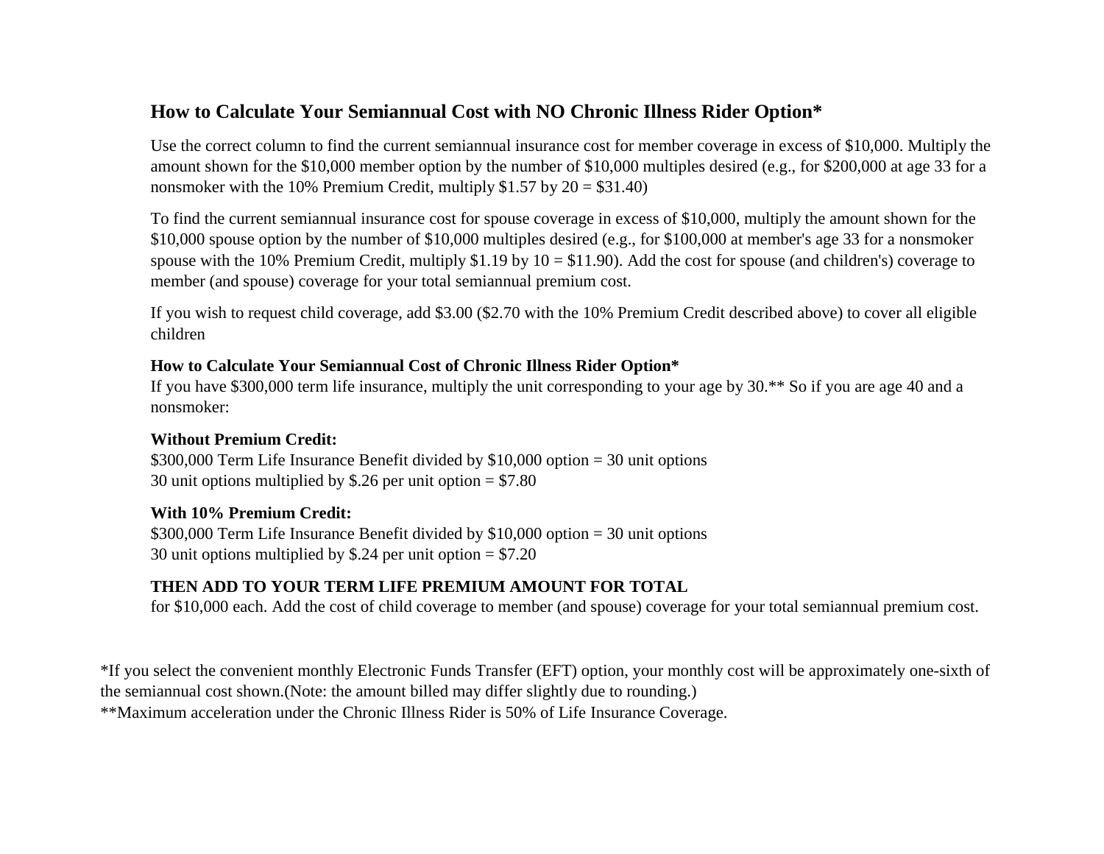## **How to Calculate Your Semiannual Cost with NO Chronic Illness Rider Option\***

Use the correct column to find the current semiannual insurance cost for member coverage in excess of \$10,000. Multiply the amount shown for the \$10,000 member option by the number of \$10,000 multiples desired (e.g., for \$200,000 at age 33 for a nonsmoker with the 10% Premium Credit, multiply  $$1.57$  by  $20 = $31.40$ )

To find the current semiannual insurance cost for spouse coverage in excess of \$10,000, multiply the amount shown for the \$10,000 spouse option by the number of \$10,000 multiples desired (e.g., for \$100,000 at member's age 33 for a nonsmoker spouse with the 10% Premium Credit, multiply  $$1.19$  by  $10 = $11.90$ ). Add the cost for spouse (and children's) coverage to member (and spouse) coverage for your total semiannual premium cost.

If you wish to request child coverage, add \$3.00 (\$2.70 with the 10% Premium Credit described above) to cover all eligible children

#### **How to Calculate Your Semiannual Cost of Chronic Illness Rider Option\***

If you have \$300,000 term life insurance, multiply the unit corresponding to your age by 30.\*\* So if you are age 40 and a nonsmoker:

#### **Without Premium Credit:**

\$300,000 Term Life Insurance Benefit divided by \$10,000 option = 30 unit options 30 unit options multiplied by \$.26 per unit option = \$7.80

#### **With 10% Premium Credit:**

\$300,000 Term Life Insurance Benefit divided by \$10,000 option = 30 unit options 30 unit options multiplied by \$.24 per unit option = \$7.20

## **THEN ADD TO YOUR TERM LIFE PREMIUM AMOUNT FOR TOTAL**

for \$10,000 each. Add the cost of child coverage to member (and spouse) coverage for your total semiannual premium cost.

\*If you select the convenient monthly Electronic Funds Transfer (EFT) option, your monthly cost will be approximately one-sixth of the semiannual cost shown.(Note: the amount billed may differ slightly due to rounding.)

\*\*Maximum acceleration under the Chronic Illness Rider is 50% of Life Insurance Coverage.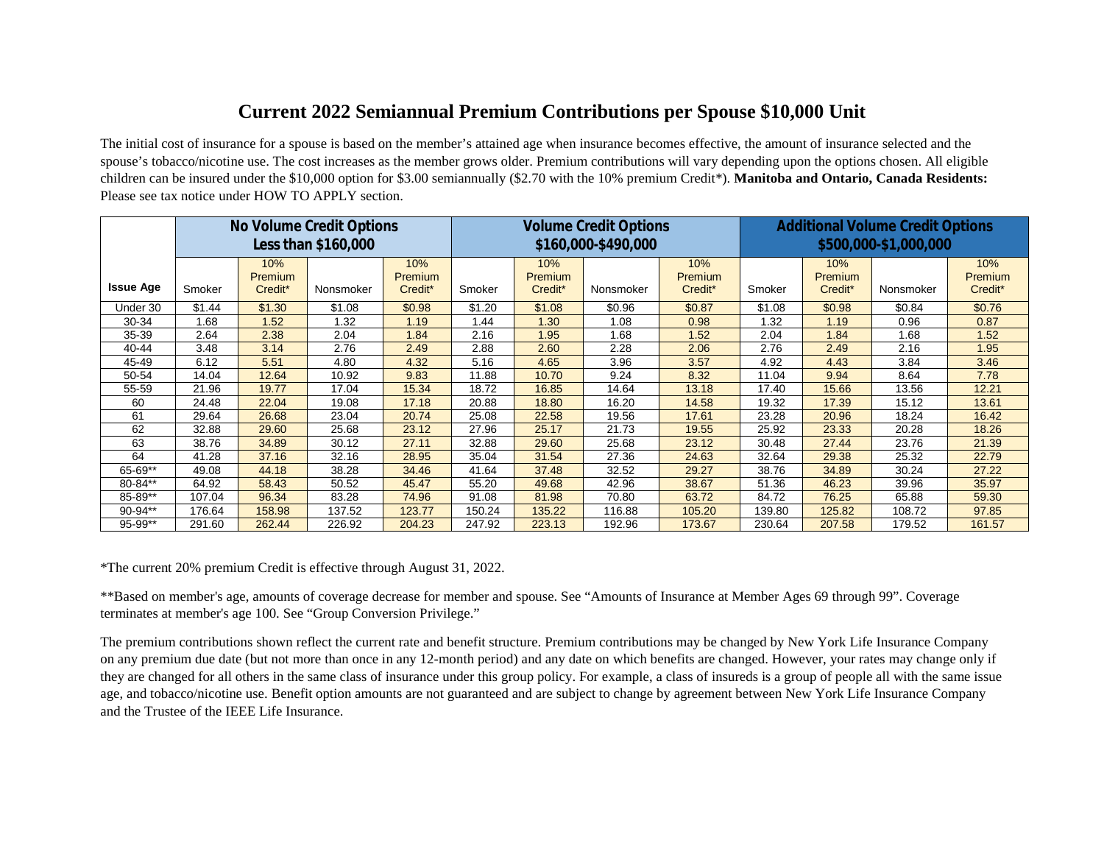## **Current 2022 Semiannual Premium Contributions per Spouse \$10,000 Unit**

The initial cost of insurance for a spouse is based on the member's attained age when insurance becomes effective, the amount of insurance selected and the spouse's tobacco/nicotine use. The cost increases as the member grows older. Premium contributions will vary depending upon the options chosen. All eligible children can be insured under the \$10,000 option for \$3.00 semiannually (\$2.70 with the 10% premium Credit\*). **Manitoba and Ontario, Canada Residents:** Please see tax notice under HOW TO APPLY section.

|                  |        |                | No Volume Credit Options<br>Less than \$160,000 |                |        |                | <b>Volume Credit Options</b><br>\$160,000-\$490,000 |                | <b>Additional Volume Credit Options</b><br>\$500,000-\$1,000,000 |                       |           |                |
|------------------|--------|----------------|-------------------------------------------------|----------------|--------|----------------|-----------------------------------------------------|----------------|------------------------------------------------------------------|-----------------------|-----------|----------------|
|                  |        | 10%<br>Premium |                                                 | 10%<br>Premium |        | 10%<br>Premium |                                                     | 10%<br>Premium |                                                                  | 10%<br><b>Premium</b> |           | 10%<br>Premium |
| <b>Issue Age</b> | Smoker | Credit*        | Nonsmoker                                       | Credit*        | Smoker | Credit*        | Nonsmoker                                           | Credit*        | Smoker                                                           | Credit*               | Nonsmoker | Credit*        |
| Under 30         | \$1.44 | \$1.30         | \$1.08                                          | \$0.98         | \$1.20 | \$1.08         | \$0.96                                              | \$0.87         | \$1.08                                                           | \$0.98                | \$0.84    | \$0.76         |
| 30-34            | 1.68   | 1.52           | 1.32                                            | 1.19           | 1.44   | 1.30           | 1.08                                                | 0.98           | 1.32                                                             | 1.19                  | 0.96      | 0.87           |
| $35 - 39$        | 2.64   | 2.38           | 2.04                                            | 1.84           | 2.16   | 1.95           | 1.68                                                | 1.52           | 2.04                                                             | 1.84                  | 1.68      | 1.52           |
| 40-44            | 3.48   | 3.14           | 2.76                                            | 2.49           | 2.88   | 2.60           | 2.28                                                | 2.06           | 2.76                                                             | 2.49                  | 2.16      | 1.95           |
| 45-49            | 6.12   | 5.51           | 4.80                                            | 4.32           | 5.16   | 4.65           | 3.96                                                | 3.57           | 4.92                                                             | 4.43                  | 3.84      | 3.46           |
| 50-54            | 14.04  | 12.64          | 10.92                                           | 9.83           | 11.88  | 10.70          | 9.24                                                | 8.32           | 11.04                                                            | 9.94                  | 8.64      | 7.78           |
| 55-59            | 21.96  | 19.77          | 17.04                                           | 15.34          | 18.72  | 16.85          | 14.64                                               | 13.18          | 17.40                                                            | 15.66                 | 13.56     | 12.21          |
| 60               | 24.48  | 22.04          | 19.08                                           | 17.18          | 20.88  | 18.80          | 16.20                                               | 14.58          | 19.32                                                            | 17.39                 | 15.12     | 13.61          |
| 61               | 29.64  | 26.68          | 23.04                                           | 20.74          | 25.08  | 22.58          | 19.56                                               | 17.61          | 23.28                                                            | 20.96                 | 18.24     | 16.42          |
| 62               | 32.88  | 29.60          | 25.68                                           | 23.12          | 27.96  | 25.17          | 21.73                                               | 19.55          | 25.92                                                            | 23.33                 | 20.28     | 18.26          |
| 63               | 38.76  | 34.89          | 30.12                                           | 27.11          | 32.88  | 29.60          | 25.68                                               | 23.12          | 30.48                                                            | 27.44                 | 23.76     | 21.39          |
| 64               | 41.28  | 37.16          | 32.16                                           | 28.95          | 35.04  | 31.54          | 27.36                                               | 24.63          | 32.64                                                            | 29.38                 | 25.32     | 22.79          |
| 65-69**          | 49.08  | 44.18          | 38.28                                           | 34.46          | 41.64  | 37.48          | 32.52                                               | 29.27          | 38.76                                                            | 34.89                 | 30.24     | 27.22          |
| 80-84**          | 64.92  | 58.43          | 50.52                                           | 45.47          | 55.20  | 49.68          | 42.96                                               | 38.67          | 51.36                                                            | 46.23                 | 39.96     | 35.97          |
| 85-89**          | 107.04 | 96.34          | 83.28                                           | 74.96          | 91.08  | 81.98          | 70.80                                               | 63.72          | 84.72                                                            | 76.25                 | 65.88     | 59.30          |
| $90-94**$        | 176.64 | 158.98         | 137.52                                          | 123.77         | 150.24 | 135.22         | 116.88                                              | 105.20         | 139.80                                                           | 125.82                | 108.72    | 97.85          |
| 95-99**          | 291.60 | 262.44         | 226.92                                          | 204.23         | 247.92 | 223.13         | 192.96                                              | 173.67         | 230.64                                                           | 207.58                | 179.52    | 161.57         |

\*The current 20% premium Credit is effective through August 31, 2022.

\*\*Based on member's age, amounts of coverage decrease for member and spouse. See "Amounts of Insurance at Member Ages 69 through 99". Coverage terminates at member's age 100. See "Group Conversion Privilege."

The premium contributions shown reflect the current rate and benefit structure. Premium contributions may be changed by New York Life Insurance Company on any premium due date (but not more than once in any 12-month period) and any date on which benefits are changed. However, your rates may change only if they are changed for all others in the same class of insurance under this group policy. For example, a class of insureds is a group of people all with the same issue age, and tobacco/nicotine use. Benefit option amounts are not guaranteed and are subject to change by agreement between New York Life Insurance Company and the Trustee of the IEEE Life Insurance.